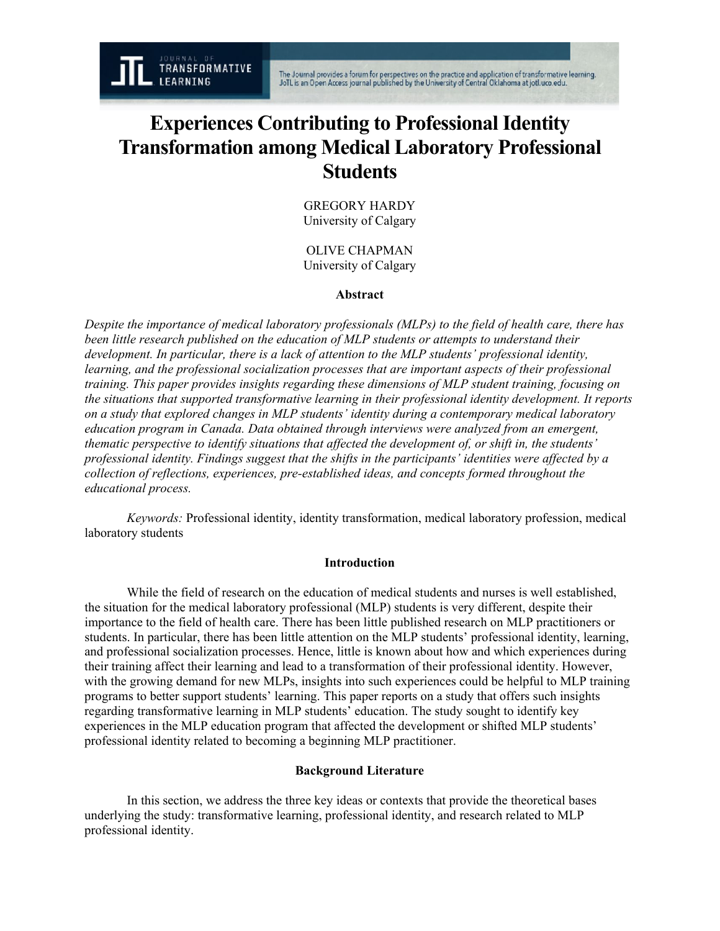The Journal provides a forum for perspectives on the practice and application of transformative learning.<br>JoTL is an Open Access journal published by the University of Central Oklahoma at jotl.uco.edu.

# **Experiences Contributing to Professional Identity Transformation among Medical Laboratory Professional Students**

GREGORY HARDY University of Calgary

OLIVE CHAPMAN University of Calgary

# **Abstract**

*Despite the importance of medical laboratory professionals (MLPs) to the field of health care, there has been little research published on the education of MLP students or attempts to understand their development. In particular, there is a lack of attention to the MLP students' professional identity, learning, and the professional socialization processes that are important aspects of their professional training. This paper provides insights regarding these dimensions of MLP student training, focusing on the situations that supported transformative learning in their professional identity development. It reports on a study that explored changes in MLP students' identity during a contemporary medical laboratory education program in Canada. Data obtained through interviews were analyzed from an emergent, thematic perspective to identify situations that affected the development of, or shift in, the students' professional identity. Findings suggest that the shifts in the participants' identities were affected by a collection of reflections, experiences, pre-established ideas, and concepts formed throughout the educational process.*

*Keywords:* Professional identity, identity transformation, medical laboratory profession, medical laboratory students

# **Introduction**

While the field of research on the education of medical students and nurses is well established, the situation for the medical laboratory professional (MLP) students is very different, despite their importance to the field of health care. There has been little published research on MLP practitioners or students. In particular, there has been little attention on the MLP students' professional identity, learning, and professional socialization processes. Hence, little is known about how and which experiences during their training affect their learning and lead to a transformation of their professional identity. However, with the growing demand for new MLPs, insights into such experiences could be helpful to MLP training programs to better support students' learning. This paper reports on a study that offers such insights regarding transformative learning in MLP students' education. The study sought to identify key experiences in the MLP education program that affected the development or shifted MLP students' professional identity related to becoming a beginning MLP practitioner.

# **Background Literature**

In this section, we address the three key ideas or contexts that provide the theoretical bases underlying the study: transformative learning, professional identity, and research related to MLP professional identity.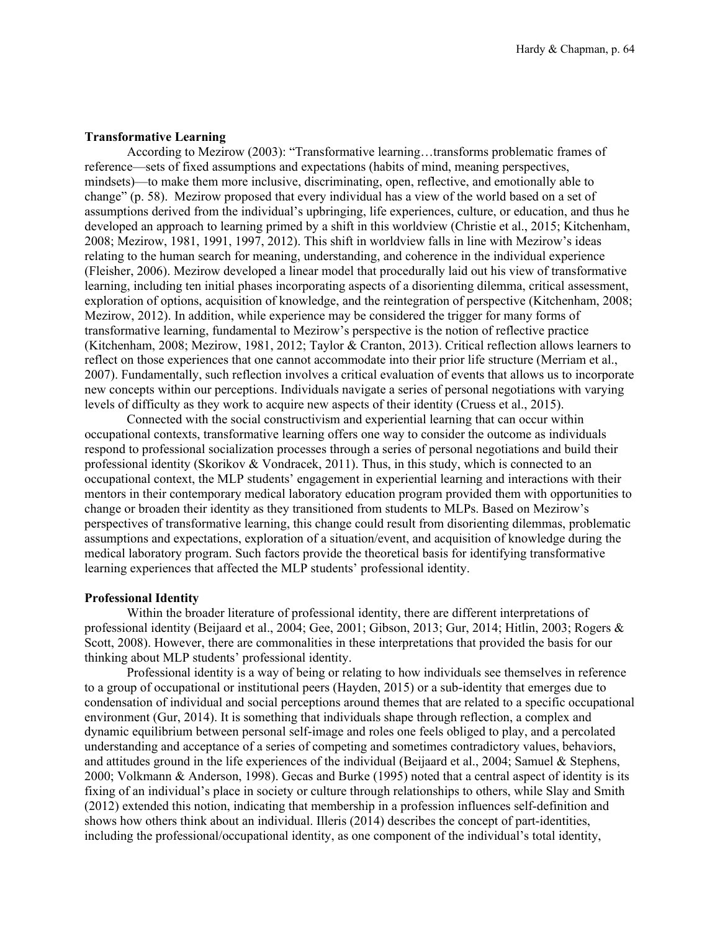## **Transformative Learning**

According to Mezirow (2003): "Transformative learning…transforms problematic frames of reference—sets of fixed assumptions and expectations (habits of mind, meaning perspectives, mindsets)—to make them more inclusive, discriminating, open, reflective, and emotionally able to change" (p. 58). Mezirow proposed that every individual has a view of the world based on a set of assumptions derived from the individual's upbringing, life experiences, culture, or education, and thus he developed an approach to learning primed by a shift in this worldview (Christie et al., 2015; Kitchenham, 2008; Mezirow, 1981, 1991, 1997, 2012). This shift in worldview falls in line with Mezirow's ideas relating to the human search for meaning, understanding, and coherence in the individual experience (Fleisher, 2006). Mezirow developed a linear model that procedurally laid out his view of transformative learning, including ten initial phases incorporating aspects of a disorienting dilemma, critical assessment, exploration of options, acquisition of knowledge, and the reintegration of perspective (Kitchenham, 2008; Mezirow, 2012). In addition, while experience may be considered the trigger for many forms of transformative learning, fundamental to Mezirow's perspective is the notion of reflective practice (Kitchenham, 2008; Mezirow, 1981, 2012; Taylor & Cranton, 2013). Critical reflection allows learners to reflect on those experiences that one cannot accommodate into their prior life structure (Merriam et al., 2007). Fundamentally, such reflection involves a critical evaluation of events that allows us to incorporate new concepts within our perceptions. Individuals navigate a series of personal negotiations with varying levels of difficulty as they work to acquire new aspects of their identity (Cruess et al., 2015).

Connected with the social constructivism and experiential learning that can occur within occupational contexts, transformative learning offers one way to consider the outcome as individuals respond to professional socialization processes through a series of personal negotiations and build their professional identity (Skorikov & Vondracek, 2011). Thus, in this study, which is connected to an occupational context, the MLP students' engagement in experiential learning and interactions with their mentors in their contemporary medical laboratory education program provided them with opportunities to change or broaden their identity as they transitioned from students to MLPs. Based on Mezirow's perspectives of transformative learning, this change could result from disorienting dilemmas, problematic assumptions and expectations, exploration of a situation/event, and acquisition of knowledge during the medical laboratory program. Such factors provide the theoretical basis for identifying transformative learning experiences that affected the MLP students' professional identity.

## **Professional Identity**

Within the broader literature of professional identity, there are different interpretations of professional identity (Beijaard et al., 2004; Gee, 2001; Gibson, 2013; Gur, 2014; Hitlin, 2003; Rogers & Scott, 2008). However, there are commonalities in these interpretations that provided the basis for our thinking about MLP students' professional identity.

Professional identity is a way of being or relating to how individuals see themselves in reference to a group of occupational or institutional peers (Hayden, 2015) or a sub-identity that emerges due to condensation of individual and social perceptions around themes that are related to a specific occupational environment (Gur, 2014). It is something that individuals shape through reflection, a complex and dynamic equilibrium between personal self-image and roles one feels obliged to play, and a percolated understanding and acceptance of a series of competing and sometimes contradictory values, behaviors, and attitudes ground in the life experiences of the individual (Beijaard et al., 2004; Samuel & Stephens, 2000; Volkmann & Anderson, 1998). Gecas and Burke (1995) noted that a central aspect of identity is its fixing of an individual's place in society or culture through relationships to others, while Slay and Smith (2012) extended this notion, indicating that membership in a profession influences self-definition and shows how others think about an individual. Illeris (2014) describes the concept of part-identities, including the professional/occupational identity, as one component of the individual's total identity,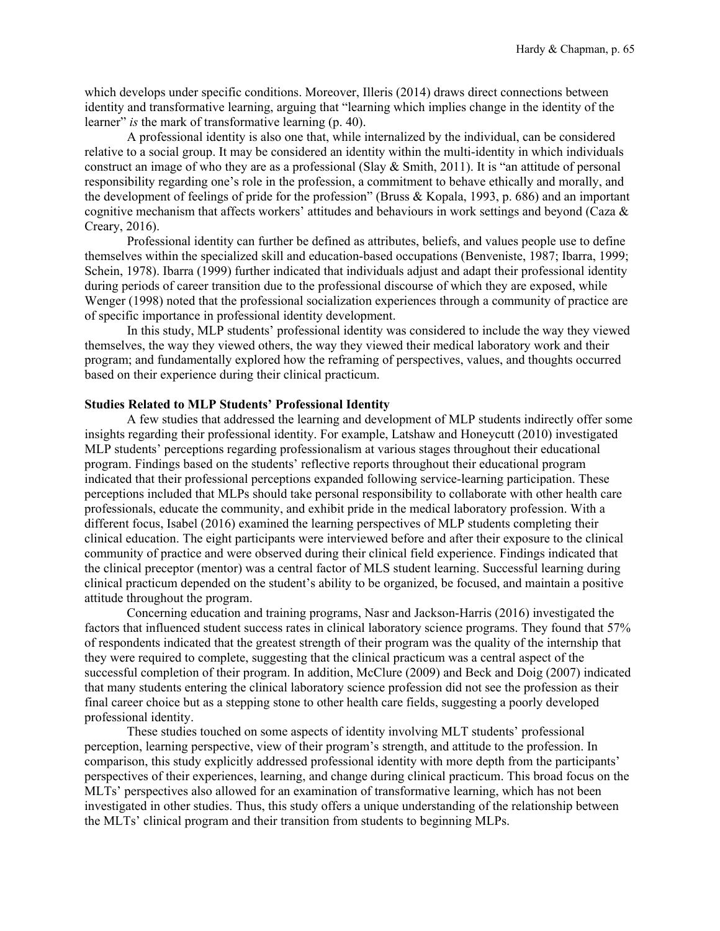which develops under specific conditions. Moreover, Illeris (2014) draws direct connections between identity and transformative learning, arguing that "learning which implies change in the identity of the learner" *is* the mark of transformative learning (p. 40).

A professional identity is also one that, while internalized by the individual, can be considered relative to a social group. It may be considered an identity within the multi-identity in which individuals construct an image of who they are as a professional (Slay & Smith, 2011). It is "an attitude of personal responsibility regarding one's role in the profession, a commitment to behave ethically and morally, and the development of feelings of pride for the profession" (Bruss & Kopala, 1993, p. 686) and an important cognitive mechanism that affects workers' attitudes and behaviours in work settings and beyond (Caza & Creary, 2016).

Professional identity can further be defined as attributes, beliefs, and values people use to define themselves within the specialized skill and education-based occupations (Benveniste, 1987; Ibarra, 1999; Schein, 1978). Ibarra (1999) further indicated that individuals adjust and adapt their professional identity during periods of career transition due to the professional discourse of which they are exposed, while Wenger (1998) noted that the professional socialization experiences through a community of practice are of specific importance in professional identity development.

In this study, MLP students' professional identity was considered to include the way they viewed themselves, the way they viewed others, the way they viewed their medical laboratory work and their program; and fundamentally explored how the reframing of perspectives, values, and thoughts occurred based on their experience during their clinical practicum.

## **Studies Related to MLP Students' Professional Identity**

A few studies that addressed the learning and development of MLP students indirectly offer some insights regarding their professional identity. For example, Latshaw and Honeycutt (2010) investigated MLP students' perceptions regarding professionalism at various stages throughout their educational program. Findings based on the students' reflective reports throughout their educational program indicated that their professional perceptions expanded following service-learning participation. These perceptions included that MLPs should take personal responsibility to collaborate with other health care professionals, educate the community, and exhibit pride in the medical laboratory profession. With a different focus, Isabel (2016) examined the learning perspectives of MLP students completing their clinical education. The eight participants were interviewed before and after their exposure to the clinical community of practice and were observed during their clinical field experience. Findings indicated that the clinical preceptor (mentor) was a central factor of MLS student learning. Successful learning during clinical practicum depended on the student's ability to be organized, be focused, and maintain a positive attitude throughout the program.

Concerning education and training programs, Nasr and Jackson-Harris (2016) investigated the factors that influenced student success rates in clinical laboratory science programs. They found that 57% of respondents indicated that the greatest strength of their program was the quality of the internship that they were required to complete, suggesting that the clinical practicum was a central aspect of the successful completion of their program. In addition, McClure (2009) and Beck and Doig (2007) indicated that many students entering the clinical laboratory science profession did not see the profession as their final career choice but as a stepping stone to other health care fields, suggesting a poorly developed professional identity.

These studies touched on some aspects of identity involving MLT students' professional perception, learning perspective, view of their program's strength, and attitude to the profession. In comparison, this study explicitly addressed professional identity with more depth from the participants' perspectives of their experiences, learning, and change during clinical practicum. This broad focus on the MLTs' perspectives also allowed for an examination of transformative learning, which has not been investigated in other studies. Thus, this study offers a unique understanding of the relationship between the MLTs' clinical program and their transition from students to beginning MLPs.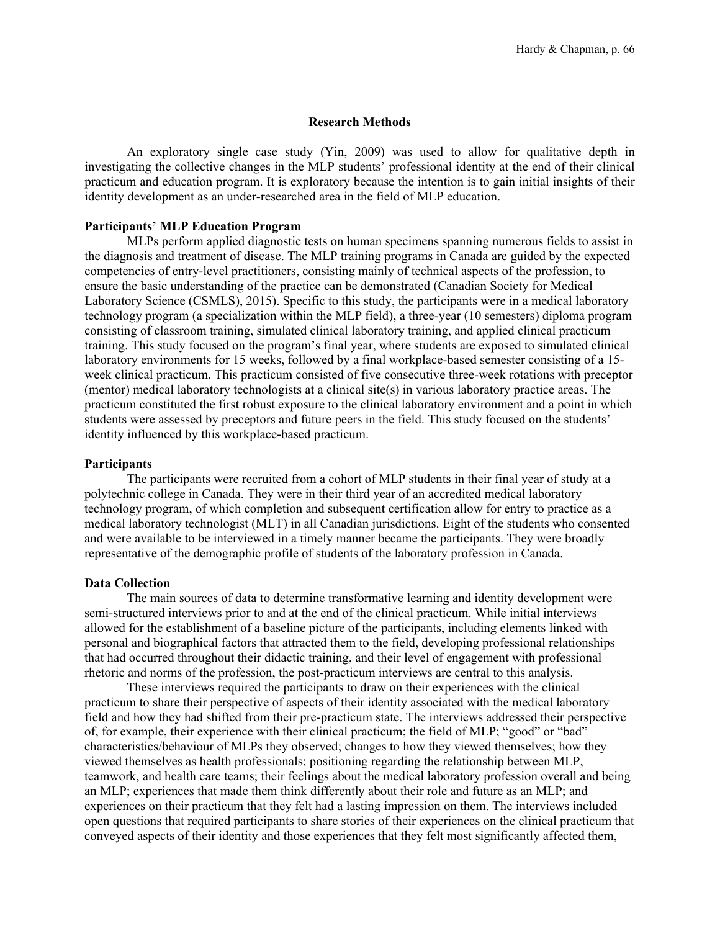## **Research Methods**

An exploratory single case study (Yin, 2009) was used to allow for qualitative depth in investigating the collective changes in the MLP students' professional identity at the end of their clinical practicum and education program. It is exploratory because the intention is to gain initial insights of their identity development as an under-researched area in the field of MLP education.

# **Participants' MLP Education Program**

MLPs perform applied diagnostic tests on human specimens spanning numerous fields to assist in the diagnosis and treatment of disease. The MLP training programs in Canada are guided by the expected competencies of entry-level practitioners, consisting mainly of technical aspects of the profession, to ensure the basic understanding of the practice can be demonstrated (Canadian Society for Medical Laboratory Science (CSMLS), 2015). Specific to this study, the participants were in a medical laboratory technology program (a specialization within the MLP field), a three-year (10 semesters) diploma program consisting of classroom training, simulated clinical laboratory training, and applied clinical practicum training. This study focused on the program's final year, where students are exposed to simulated clinical laboratory environments for 15 weeks, followed by a final workplace-based semester consisting of a 15 week clinical practicum. This practicum consisted of five consecutive three-week rotations with preceptor (mentor) medical laboratory technologists at a clinical site(s) in various laboratory practice areas. The practicum constituted the first robust exposure to the clinical laboratory environment and a point in which students were assessed by preceptors and future peers in the field. This study focused on the students' identity influenced by this workplace-based practicum.

## **Participants**

The participants were recruited from a cohort of MLP students in their final year of study at a polytechnic college in Canada. They were in their third year of an accredited medical laboratory technology program, of which completion and subsequent certification allow for entry to practice as a medical laboratory technologist (MLT) in all Canadian jurisdictions. Eight of the students who consented and were available to be interviewed in a timely manner became the participants. They were broadly representative of the demographic profile of students of the laboratory profession in Canada.

## **Data Collection**

The main sources of data to determine transformative learning and identity development were semi-structured interviews prior to and at the end of the clinical practicum. While initial interviews allowed for the establishment of a baseline picture of the participants, including elements linked with personal and biographical factors that attracted them to the field, developing professional relationships that had occurred throughout their didactic training, and their level of engagement with professional rhetoric and norms of the profession, the post-practicum interviews are central to this analysis.

These interviews required the participants to draw on their experiences with the clinical practicum to share their perspective of aspects of their identity associated with the medical laboratory field and how they had shifted from their pre-practicum state. The interviews addressed their perspective of, for example, their experience with their clinical practicum; the field of MLP; "good" or "bad" characteristics/behaviour of MLPs they observed; changes to how they viewed themselves; how they viewed themselves as health professionals; positioning regarding the relationship between MLP, teamwork, and health care teams; their feelings about the medical laboratory profession overall and being an MLP; experiences that made them think differently about their role and future as an MLP; and experiences on their practicum that they felt had a lasting impression on them. The interviews included open questions that required participants to share stories of their experiences on the clinical practicum that conveyed aspects of their identity and those experiences that they felt most significantly affected them,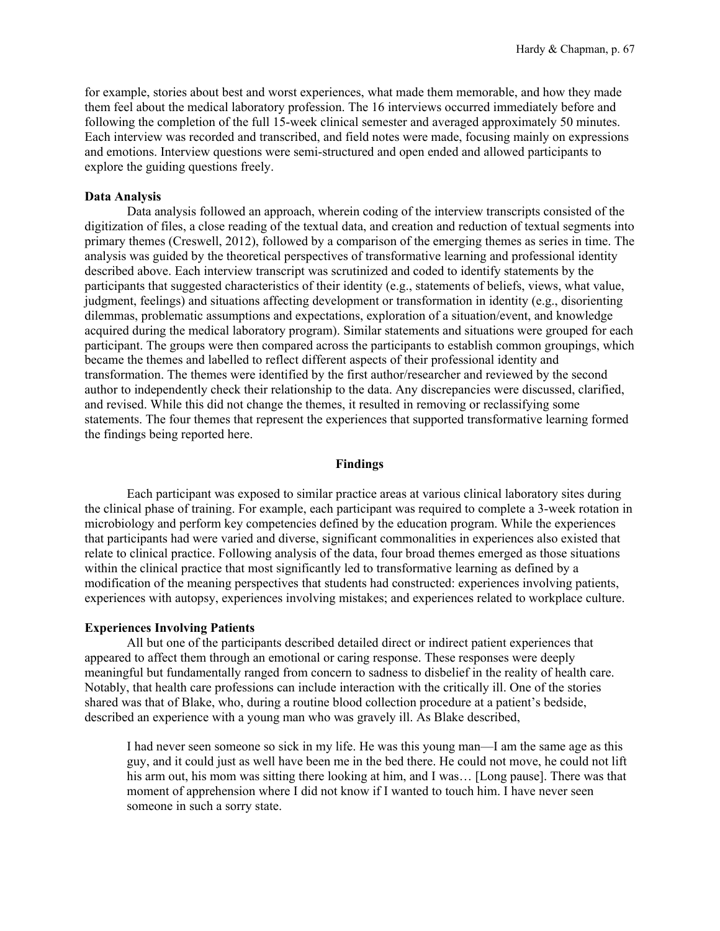for example, stories about best and worst experiences, what made them memorable, and how they made them feel about the medical laboratory profession. The 16 interviews occurred immediately before and following the completion of the full 15-week clinical semester and averaged approximately 50 minutes. Each interview was recorded and transcribed, and field notes were made, focusing mainly on expressions and emotions. Interview questions were semi-structured and open ended and allowed participants to explore the guiding questions freely.

## **Data Analysis**

Data analysis followed an approach, wherein coding of the interview transcripts consisted of the digitization of files, a close reading of the textual data, and creation and reduction of textual segments into primary themes (Creswell, 2012), followed by a comparison of the emerging themes as series in time. The analysis was guided by the theoretical perspectives of transformative learning and professional identity described above. Each interview transcript was scrutinized and coded to identify statements by the participants that suggested characteristics of their identity (e.g., statements of beliefs, views, what value, judgment, feelings) and situations affecting development or transformation in identity (e.g., disorienting dilemmas, problematic assumptions and expectations, exploration of a situation/event, and knowledge acquired during the medical laboratory program). Similar statements and situations were grouped for each participant. The groups were then compared across the participants to establish common groupings, which became the themes and labelled to reflect different aspects of their professional identity and transformation. The themes were identified by the first author/researcher and reviewed by the second author to independently check their relationship to the data. Any discrepancies were discussed, clarified, and revised. While this did not change the themes, it resulted in removing or reclassifying some statements. The four themes that represent the experiences that supported transformative learning formed the findings being reported here.

## **Findings**

Each participant was exposed to similar practice areas at various clinical laboratory sites during the clinical phase of training. For example, each participant was required to complete a 3-week rotation in microbiology and perform key competencies defined by the education program. While the experiences that participants had were varied and diverse, significant commonalities in experiences also existed that relate to clinical practice. Following analysis of the data, four broad themes emerged as those situations within the clinical practice that most significantly led to transformative learning as defined by a modification of the meaning perspectives that students had constructed: experiences involving patients, experiences with autopsy, experiences involving mistakes; and experiences related to workplace culture.

# **Experiences Involving Patients**

All but one of the participants described detailed direct or indirect patient experiences that appeared to affect them through an emotional or caring response. These responses were deeply meaningful but fundamentally ranged from concern to sadness to disbelief in the reality of health care. Notably, that health care professions can include interaction with the critically ill. One of the stories shared was that of Blake, who, during a routine blood collection procedure at a patient's bedside, described an experience with a young man who was gravely ill. As Blake described,

I had never seen someone so sick in my life. He was this young man—I am the same age as this guy, and it could just as well have been me in the bed there. He could not move, he could not lift his arm out, his mom was sitting there looking at him, and I was... [Long pause]. There was that moment of apprehension where I did not know if I wanted to touch him. I have never seen someone in such a sorry state.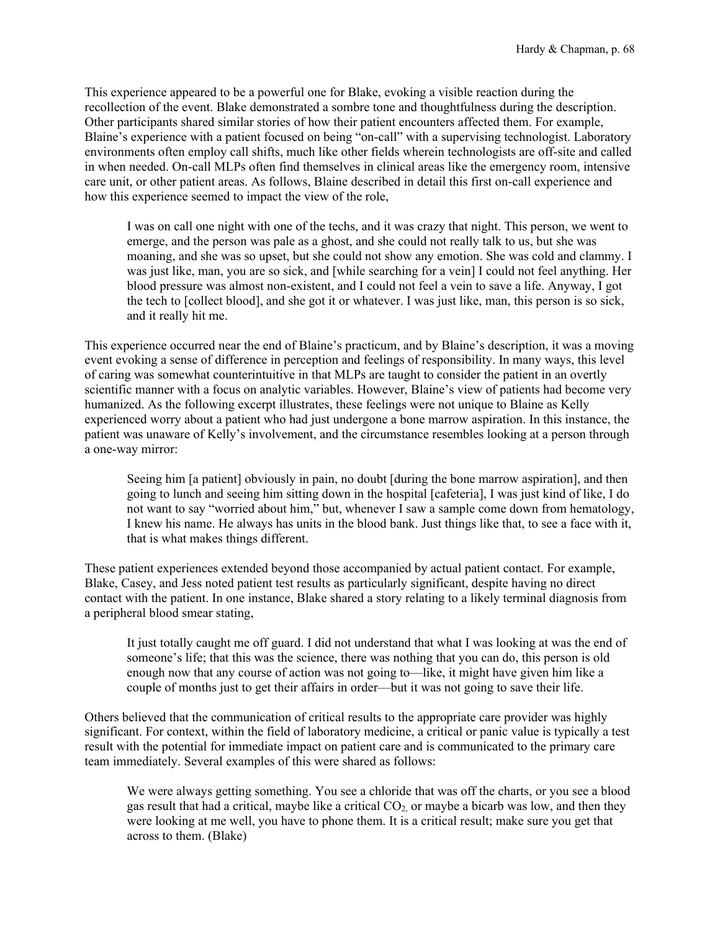This experience appeared to be a powerful one for Blake, evoking a visible reaction during the recollection of the event. Blake demonstrated a sombre tone and thoughtfulness during the description. Other participants shared similar stories of how their patient encounters affected them. For example, Blaine's experience with a patient focused on being "on-call" with a supervising technologist. Laboratory environments often employ call shifts, much like other fields wherein technologists are off-site and called in when needed. On-call MLPs often find themselves in clinical areas like the emergency room, intensive care unit, or other patient areas. As follows, Blaine described in detail this first on-call experience and how this experience seemed to impact the view of the role,

I was on call one night with one of the techs, and it was crazy that night. This person, we went to emerge, and the person was pale as a ghost, and she could not really talk to us, but she was moaning, and she was so upset, but she could not show any emotion. She was cold and clammy. I was just like, man, you are so sick, and [while searching for a vein] I could not feel anything. Her blood pressure was almost non-existent, and I could not feel a vein to save a life. Anyway, I got the tech to [collect blood], and she got it or whatever. I was just like, man, this person is so sick, and it really hit me.

This experience occurred near the end of Blaine's practicum, and by Blaine's description, it was a moving event evoking a sense of difference in perception and feelings of responsibility. In many ways, this level of caring was somewhat counterintuitive in that MLPs are taught to consider the patient in an overtly scientific manner with a focus on analytic variables. However, Blaine's view of patients had become very humanized. As the following excerpt illustrates, these feelings were not unique to Blaine as Kelly experienced worry about a patient who had just undergone a bone marrow aspiration. In this instance, the patient was unaware of Kelly's involvement, and the circumstance resembles looking at a person through a one-way mirror:

Seeing him [a patient] obviously in pain, no doubt [during the bone marrow aspiration], and then going to lunch and seeing him sitting down in the hospital [cafeteria], I was just kind of like, I do not want to say "worried about him," but, whenever I saw a sample come down from hematology, I knew his name. He always has units in the blood bank. Just things like that, to see a face with it, that is what makes things different.

These patient experiences extended beyond those accompanied by actual patient contact. For example, Blake, Casey, and Jess noted patient test results as particularly significant, despite having no direct contact with the patient. In one instance, Blake shared a story relating to a likely terminal diagnosis from a peripheral blood smear stating,

It just totally caught me off guard. I did not understand that what I was looking at was the end of someone's life; that this was the science, there was nothing that you can do, this person is old enough now that any course of action was not going to—like, it might have given him like a couple of months just to get their affairs in order—but it was not going to save their life.

Others believed that the communication of critical results to the appropriate care provider was highly significant. For context, within the field of laboratory medicine, a critical or panic value is typically a test result with the potential for immediate impact on patient care and is communicated to the primary care team immediately. Several examples of this were shared as follows:

We were always getting something. You see a chloride that was off the charts, or you see a blood gas result that had a critical, maybe like a critical  $CO<sub>2</sub>$  or maybe a bicarb was low, and then they were looking at me well, you have to phone them. It is a critical result; make sure you get that across to them. (Blake)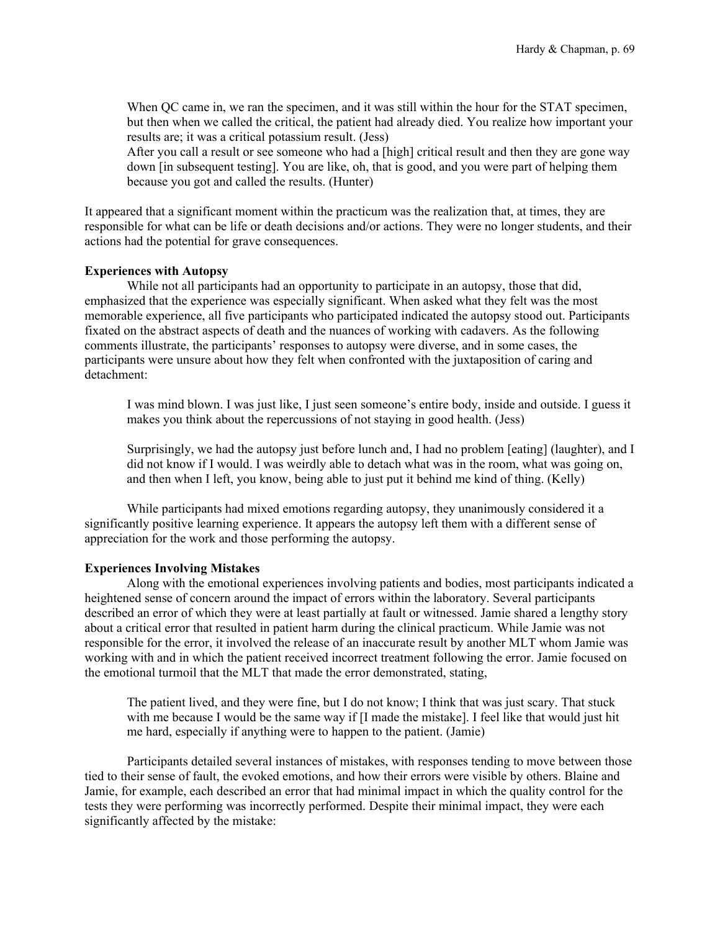When QC came in, we ran the specimen, and it was still within the hour for the STAT specimen, but then when we called the critical, the patient had already died. You realize how important your results are; it was a critical potassium result. (Jess)

After you call a result or see someone who had a [high] critical result and then they are gone way down [in subsequent testing]. You are like, oh, that is good, and you were part of helping them because you got and called the results. (Hunter)

It appeared that a significant moment within the practicum was the realization that, at times, they are responsible for what can be life or death decisions and/or actions. They were no longer students, and their actions had the potential for grave consequences.

## **Experiences with Autopsy**

While not all participants had an opportunity to participate in an autopsy, those that did, emphasized that the experience was especially significant. When asked what they felt was the most memorable experience, all five participants who participated indicated the autopsy stood out. Participants fixated on the abstract aspects of death and the nuances of working with cadavers. As the following comments illustrate, the participants' responses to autopsy were diverse, and in some cases, the participants were unsure about how they felt when confronted with the juxtaposition of caring and detachment:

I was mind blown. I was just like, I just seen someone's entire body, inside and outside. I guess it makes you think about the repercussions of not staying in good health. (Jess)

Surprisingly, we had the autopsy just before lunch and, I had no problem [eating] (laughter), and I did not know if I would. I was weirdly able to detach what was in the room, what was going on, and then when I left, you know, being able to just put it behind me kind of thing. (Kelly)

While participants had mixed emotions regarding autopsy, they unanimously considered it a significantly positive learning experience. It appears the autopsy left them with a different sense of appreciation for the work and those performing the autopsy.

## **Experiences Involving Mistakes**

Along with the emotional experiences involving patients and bodies, most participants indicated a heightened sense of concern around the impact of errors within the laboratory. Several participants described an error of which they were at least partially at fault or witnessed. Jamie shared a lengthy story about a critical error that resulted in patient harm during the clinical practicum. While Jamie was not responsible for the error, it involved the release of an inaccurate result by another MLT whom Jamie was working with and in which the patient received incorrect treatment following the error. Jamie focused on the emotional turmoil that the MLT that made the error demonstrated, stating,

The patient lived, and they were fine, but I do not know; I think that was just scary. That stuck with me because I would be the same way if [I made the mistake]. I feel like that would just hit me hard, especially if anything were to happen to the patient. (Jamie)

Participants detailed several instances of mistakes, with responses tending to move between those tied to their sense of fault, the evoked emotions, and how their errors were visible by others. Blaine and Jamie, for example, each described an error that had minimal impact in which the quality control for the tests they were performing was incorrectly performed. Despite their minimal impact, they were each significantly affected by the mistake: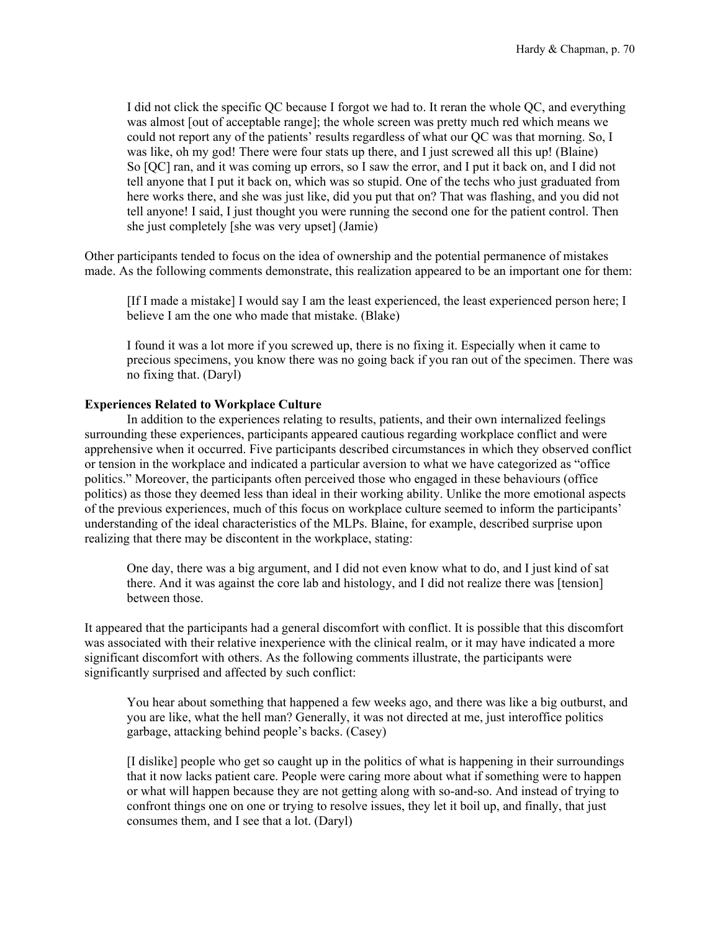I did not click the specific QC because I forgot we had to. It reran the whole QC, and everything was almost [out of acceptable range]; the whole screen was pretty much red which means we could not report any of the patients' results regardless of what our QC was that morning. So, I was like, oh my god! There were four stats up there, and I just screwed all this up! (Blaine) So [QC] ran, and it was coming up errors, so I saw the error, and I put it back on, and I did not tell anyone that I put it back on, which was so stupid. One of the techs who just graduated from here works there, and she was just like, did you put that on? That was flashing, and you did not tell anyone! I said, I just thought you were running the second one for the patient control. Then she just completely [she was very upset] (Jamie)

Other participants tended to focus on the idea of ownership and the potential permanence of mistakes made. As the following comments demonstrate, this realization appeared to be an important one for them:

[If I made a mistake] I would say I am the least experienced, the least experienced person here; I believe I am the one who made that mistake. (Blake)

I found it was a lot more if you screwed up, there is no fixing it. Especially when it came to precious specimens, you know there was no going back if you ran out of the specimen. There was no fixing that. (Daryl)

# **Experiences Related to Workplace Culture**

In addition to the experiences relating to results, patients, and their own internalized feelings surrounding these experiences, participants appeared cautious regarding workplace conflict and were apprehensive when it occurred. Five participants described circumstances in which they observed conflict or tension in the workplace and indicated a particular aversion to what we have categorized as "office politics." Moreover, the participants often perceived those who engaged in these behaviours (office politics) as those they deemed less than ideal in their working ability. Unlike the more emotional aspects of the previous experiences, much of this focus on workplace culture seemed to inform the participants' understanding of the ideal characteristics of the MLPs. Blaine, for example, described surprise upon realizing that there may be discontent in the workplace, stating:

One day, there was a big argument, and I did not even know what to do, and I just kind of sat there. And it was against the core lab and histology, and I did not realize there was [tension] between those.

It appeared that the participants had a general discomfort with conflict. It is possible that this discomfort was associated with their relative inexperience with the clinical realm, or it may have indicated a more significant discomfort with others. As the following comments illustrate, the participants were significantly surprised and affected by such conflict:

You hear about something that happened a few weeks ago, and there was like a big outburst, and you are like, what the hell man? Generally, it was not directed at me, just interoffice politics garbage, attacking behind people's backs. (Casey)

[I dislike] people who get so caught up in the politics of what is happening in their surroundings that it now lacks patient care. People were caring more about what if something were to happen or what will happen because they are not getting along with so-and-so. And instead of trying to confront things one on one or trying to resolve issues, they let it boil up, and finally, that just consumes them, and I see that a lot. (Daryl)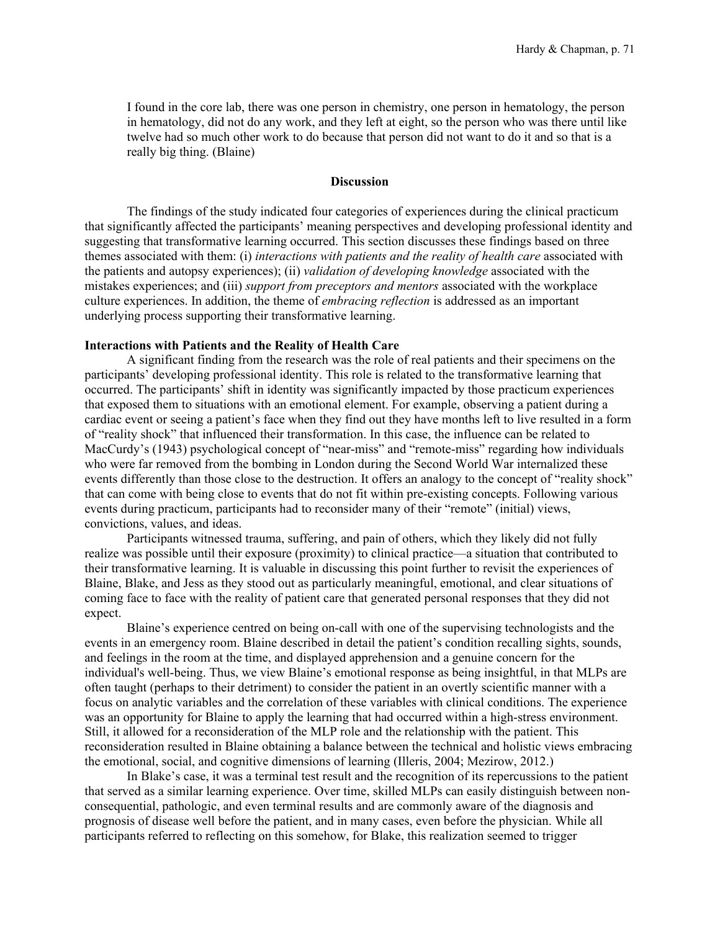I found in the core lab, there was one person in chemistry, one person in hematology, the person in hematology, did not do any work, and they left at eight, so the person who was there until like twelve had so much other work to do because that person did not want to do it and so that is a really big thing. (Blaine)

# **Discussion**

The findings of the study indicated four categories of experiences during the clinical practicum that significantly affected the participants' meaning perspectives and developing professional identity and suggesting that transformative learning occurred. This section discusses these findings based on three themes associated with them: (i) *interactions with patients and the reality of health care* associated with the patients and autopsy experiences); (ii) *validation of developing knowledge* associated with the mistakes experiences; and (iii) *support from preceptors and mentors* associated with the workplace culture experiences. In addition, the theme of *embracing reflection* is addressed as an important underlying process supporting their transformative learning.

## **Interactions with Patients and the Reality of Health Care**

A significant finding from the research was the role of real patients and their specimens on the participants' developing professional identity. This role is related to the transformative learning that occurred. The participants' shift in identity was significantly impacted by those practicum experiences that exposed them to situations with an emotional element. For example, observing a patient during a cardiac event or seeing a patient's face when they find out they have months left to live resulted in a form of "reality shock" that influenced their transformation. In this case, the influence can be related to MacCurdy's (1943) psychological concept of "near-miss" and "remote-miss" regarding how individuals who were far removed from the bombing in London during the Second World War internalized these events differently than those close to the destruction. It offers an analogy to the concept of "reality shock" that can come with being close to events that do not fit within pre-existing concepts. Following various events during practicum, participants had to reconsider many of their "remote" (initial) views, convictions, values, and ideas.

Participants witnessed trauma, suffering, and pain of others, which they likely did not fully realize was possible until their exposure (proximity) to clinical practice—a situation that contributed to their transformative learning. It is valuable in discussing this point further to revisit the experiences of Blaine, Blake, and Jess as they stood out as particularly meaningful, emotional, and clear situations of coming face to face with the reality of patient care that generated personal responses that they did not expect.

Blaine's experience centred on being on-call with one of the supervising technologists and the events in an emergency room. Blaine described in detail the patient's condition recalling sights, sounds, and feelings in the room at the time, and displayed apprehension and a genuine concern for the individual's well-being. Thus, we view Blaine's emotional response as being insightful, in that MLPs are often taught (perhaps to their detriment) to consider the patient in an overtly scientific manner with a focus on analytic variables and the correlation of these variables with clinical conditions. The experience was an opportunity for Blaine to apply the learning that had occurred within a high-stress environment. Still, it allowed for a reconsideration of the MLP role and the relationship with the patient. This reconsideration resulted in Blaine obtaining a balance between the technical and holistic views embracing the emotional, social, and cognitive dimensions of learning (Illeris, 2004; Mezirow, 2012.)

In Blake's case, it was a terminal test result and the recognition of its repercussions to the patient that served as a similar learning experience. Over time, skilled MLPs can easily distinguish between nonconsequential, pathologic, and even terminal results and are commonly aware of the diagnosis and prognosis of disease well before the patient, and in many cases, even before the physician. While all participants referred to reflecting on this somehow, for Blake, this realization seemed to trigger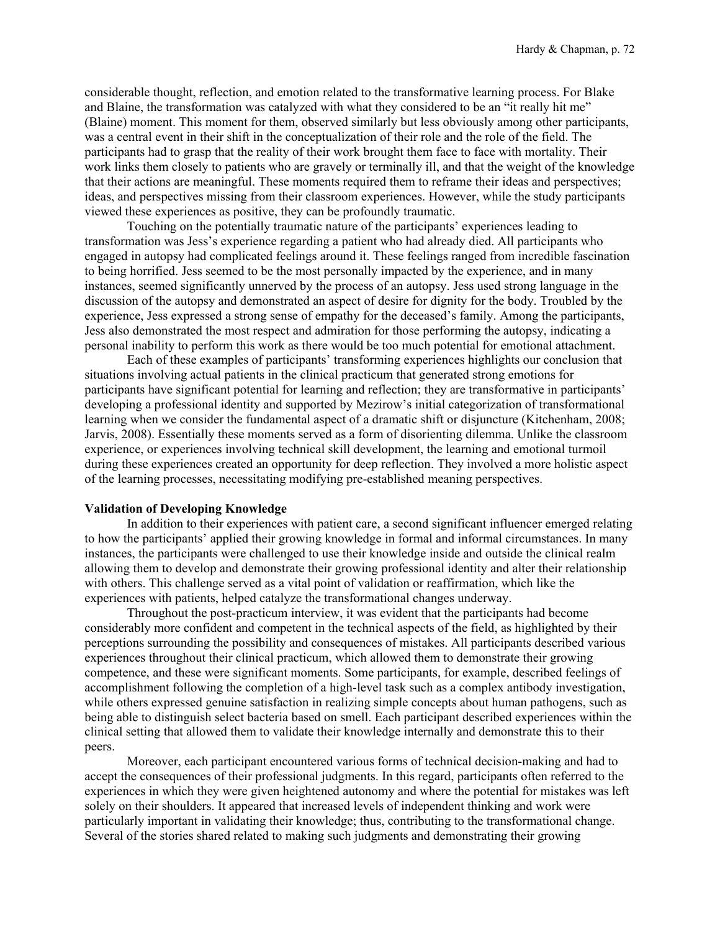considerable thought, reflection, and emotion related to the transformative learning process. For Blake and Blaine, the transformation was catalyzed with what they considered to be an "it really hit me" (Blaine) moment. This moment for them, observed similarly but less obviously among other participants, was a central event in their shift in the conceptualization of their role and the role of the field. The participants had to grasp that the reality of their work brought them face to face with mortality. Their work links them closely to patients who are gravely or terminally ill, and that the weight of the knowledge that their actions are meaningful. These moments required them to reframe their ideas and perspectives; ideas, and perspectives missing from their classroom experiences. However, while the study participants viewed these experiences as positive, they can be profoundly traumatic.

Touching on the potentially traumatic nature of the participants' experiences leading to transformation was Jess's experience regarding a patient who had already died. All participants who engaged in autopsy had complicated feelings around it. These feelings ranged from incredible fascination to being horrified. Jess seemed to be the most personally impacted by the experience, and in many instances, seemed significantly unnerved by the process of an autopsy. Jess used strong language in the discussion of the autopsy and demonstrated an aspect of desire for dignity for the body. Troubled by the experience, Jess expressed a strong sense of empathy for the deceased's family. Among the participants, Jess also demonstrated the most respect and admiration for those performing the autopsy, indicating a personal inability to perform this work as there would be too much potential for emotional attachment.

Each of these examples of participants' transforming experiences highlights our conclusion that situations involving actual patients in the clinical practicum that generated strong emotions for participants have significant potential for learning and reflection; they are transformative in participants' developing a professional identity and supported by Mezirow's initial categorization of transformational learning when we consider the fundamental aspect of a dramatic shift or disjuncture (Kitchenham, 2008; Jarvis, 2008). Essentially these moments served as a form of disorienting dilemma. Unlike the classroom experience, or experiences involving technical skill development, the learning and emotional turmoil during these experiences created an opportunity for deep reflection. They involved a more holistic aspect of the learning processes, necessitating modifying pre-established meaning perspectives.

# **Validation of Developing Knowledge**

In addition to their experiences with patient care, a second significant influencer emerged relating to how the participants' applied their growing knowledge in formal and informal circumstances. In many instances, the participants were challenged to use their knowledge inside and outside the clinical realm allowing them to develop and demonstrate their growing professional identity and alter their relationship with others. This challenge served as a vital point of validation or reaffirmation, which like the experiences with patients, helped catalyze the transformational changes underway.

Throughout the post-practicum interview, it was evident that the participants had become considerably more confident and competent in the technical aspects of the field, as highlighted by their perceptions surrounding the possibility and consequences of mistakes. All participants described various experiences throughout their clinical practicum, which allowed them to demonstrate their growing competence, and these were significant moments. Some participants, for example, described feelings of accomplishment following the completion of a high-level task such as a complex antibody investigation, while others expressed genuine satisfaction in realizing simple concepts about human pathogens, such as being able to distinguish select bacteria based on smell. Each participant described experiences within the clinical setting that allowed them to validate their knowledge internally and demonstrate this to their peers.

Moreover, each participant encountered various forms of technical decision-making and had to accept the consequences of their professional judgments. In this regard, participants often referred to the experiences in which they were given heightened autonomy and where the potential for mistakes was left solely on their shoulders. It appeared that increased levels of independent thinking and work were particularly important in validating their knowledge; thus, contributing to the transformational change. Several of the stories shared related to making such judgments and demonstrating their growing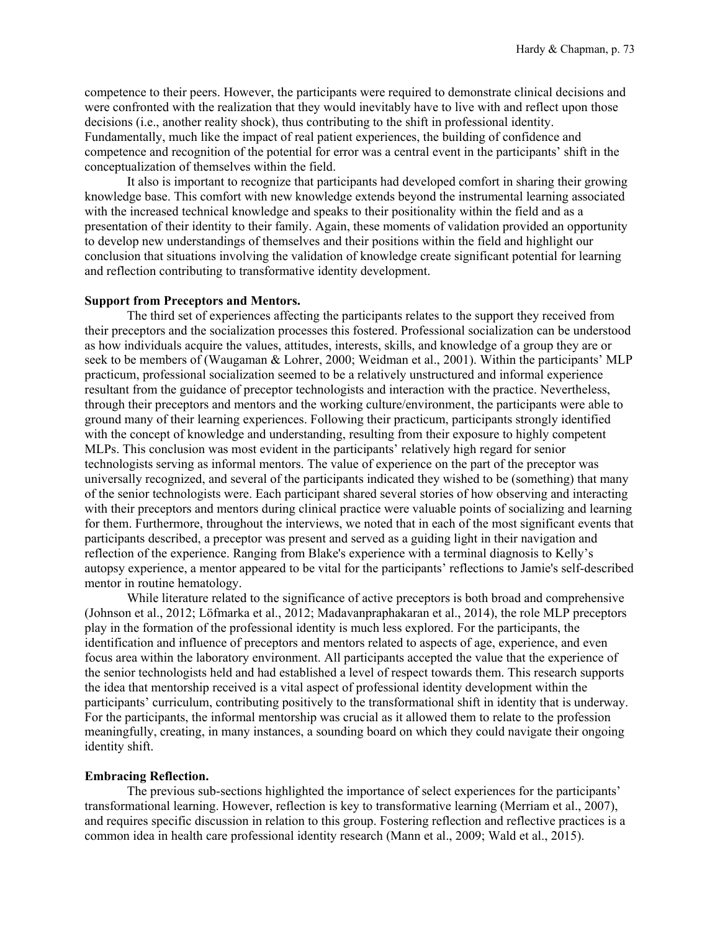competence to their peers. However, the participants were required to demonstrate clinical decisions and were confronted with the realization that they would inevitably have to live with and reflect upon those decisions (i.e., another reality shock), thus contributing to the shift in professional identity. Fundamentally, much like the impact of real patient experiences, the building of confidence and competence and recognition of the potential for error was a central event in the participants' shift in the conceptualization of themselves within the field.

It also is important to recognize that participants had developed comfort in sharing their growing knowledge base. This comfort with new knowledge extends beyond the instrumental learning associated with the increased technical knowledge and speaks to their positionality within the field and as a presentation of their identity to their family. Again, these moments of validation provided an opportunity to develop new understandings of themselves and their positions within the field and highlight our conclusion that situations involving the validation of knowledge create significant potential for learning and reflection contributing to transformative identity development.

## **Support from Preceptors and Mentors.**

The third set of experiences affecting the participants relates to the support they received from their preceptors and the socialization processes this fostered. Professional socialization can be understood as how individuals acquire the values, attitudes, interests, skills, and knowledge of a group they are or seek to be members of (Waugaman & Lohrer, 2000; Weidman et al., 2001). Within the participants' MLP practicum, professional socialization seemed to be a relatively unstructured and informal experience resultant from the guidance of preceptor technologists and interaction with the practice. Nevertheless, through their preceptors and mentors and the working culture/environment, the participants were able to ground many of their learning experiences. Following their practicum, participants strongly identified with the concept of knowledge and understanding, resulting from their exposure to highly competent MLPs. This conclusion was most evident in the participants' relatively high regard for senior technologists serving as informal mentors. The value of experience on the part of the preceptor was universally recognized, and several of the participants indicated they wished to be (something) that many of the senior technologists were. Each participant shared several stories of how observing and interacting with their preceptors and mentors during clinical practice were valuable points of socializing and learning for them. Furthermore, throughout the interviews, we noted that in each of the most significant events that participants described, a preceptor was present and served as a guiding light in their navigation and reflection of the experience. Ranging from Blake's experience with a terminal diagnosis to Kelly's autopsy experience, a mentor appeared to be vital for the participants' reflections to Jamie's self-described mentor in routine hematology.

While literature related to the significance of active preceptors is both broad and comprehensive (Johnson et al., 2012; Löfmarka et al., 2012; Madavanpraphakaran et al., 2014), the role MLP preceptors play in the formation of the professional identity is much less explored. For the participants, the identification and influence of preceptors and mentors related to aspects of age, experience, and even focus area within the laboratory environment. All participants accepted the value that the experience of the senior technologists held and had established a level of respect towards them. This research supports the idea that mentorship received is a vital aspect of professional identity development within the participants' curriculum, contributing positively to the transformational shift in identity that is underway. For the participants, the informal mentorship was crucial as it allowed them to relate to the profession meaningfully, creating, in many instances, a sounding board on which they could navigate their ongoing identity shift.

#### **Embracing Reflection.**

The previous sub-sections highlighted the importance of select experiences for the participants' transformational learning. However, reflection is key to transformative learning (Merriam et al., 2007), and requires specific discussion in relation to this group. Fostering reflection and reflective practices is a common idea in health care professional identity research (Mann et al., 2009; Wald et al., 2015).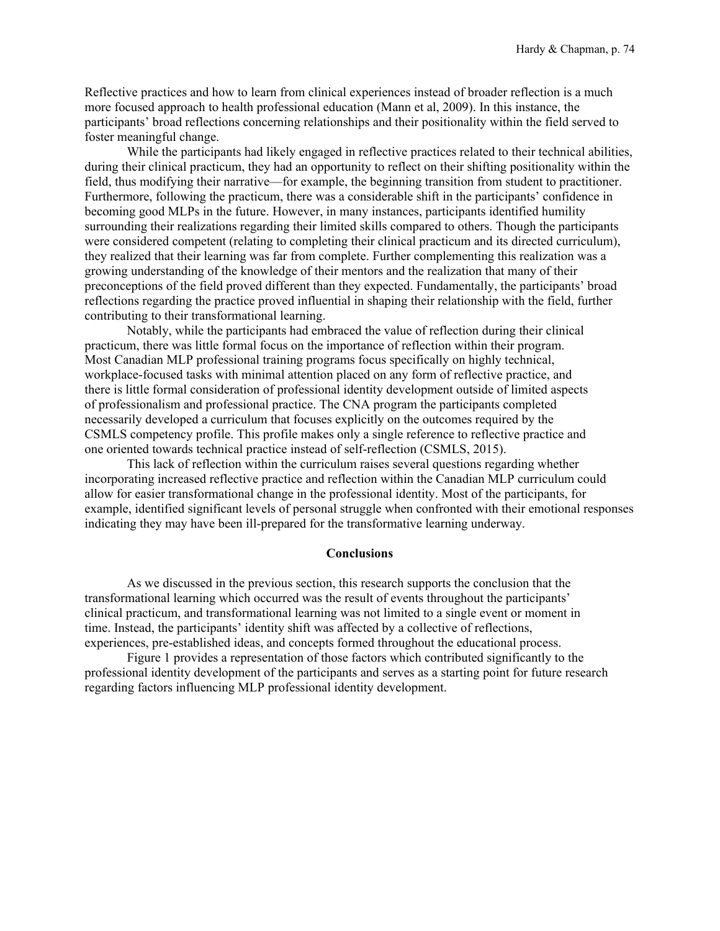Reflective practices and how to learn from clinical experiences instead of broader reflection is a much more focused approach to health professional education (Mann et al, 2009). In this instance, the participants' broad reflections concerning relationships and their positionality within the field served to foster meaningful change.

While the participants had likely engaged in reflective practices related to their technical abilities, during their clinical practicum, they had an opportunity to reflect on their shifting positionality within the field, thus modifying their narrative—for example, the beginning transition from student to practitioner. Furthermore, following the practicum, there was a considerable shift in the participants' confidence in becoming good MLPs in the future. However, in many instances, participants identified humility surrounding their realizations regarding their limited skills compared to others. Though the participants were considered competent (relating to completing their clinical practicum and its directed curriculum), they realized that their learning was far from complete. Further complementing this realization was a growing understanding of the knowledge of their mentors and the realization that many of their preconceptions of the field proved different than they expected. Fundamentally, the participants' broad reflections regarding the practice proved influential in shaping their relationship with the field, further contributing to their transformational learning.

Notably, while the participants had embraced the value of reflection during their clinical practicum, there was little formal focus on the importance of reflection within their program. Most Canadian MLP professional training programs focus specifically on highly technical, workplace-focused tasks with minimal attention placed on any form of reflective practice, and there is little formal consideration of professional identity development outside of limited aspects of professionalism and professional practice. The CNA program the participants completed necessarily developed a curriculum that focuses explicitly on the outcomes required by the CSMLS competency profile. This profile makes only a single reference to reflective practice and one oriented towards technical practice instead of self-reflection (CSMLS, 2015).

This lack of reflection within the curriculum raises several questions regarding whether incorporating increased reflective practice and reflection within the Canadian MLP curriculum could allow for easier transformational change in the professional identity. Most of the participants, for example, identified significant levels of personal struggle when confronted with their emotional responses indicating they may have been ill-prepared for the transformative learning underway.

#### **Conclusions**

As we discussed in the previous section, this research supports the conclusion that the transformational learning which occurred was the result of events throughout the participants' clinical practicum, and transformational learning was not limited to a single event or moment in time. Instead, the participants' identity shift was affected by a collective of reflections, experiences, pre-established ideas, and concepts formed throughout the educational process.

Figure 1 provides a representation of those factors which contributed significantly to the professional identity development of the participants and serves as a starting point for future research regarding factors influencing MLP professional identity development.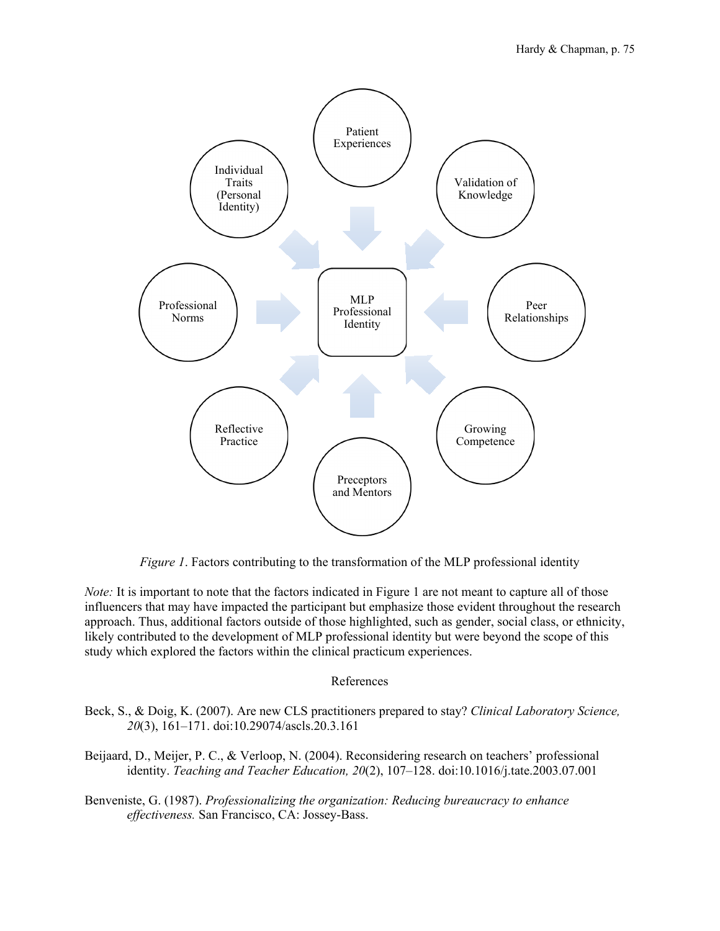

*Figure 1*. Factors contributing to the transformation of the MLP professional identity

*Note:* It is important to note that the factors indicated in Figure 1 are not meant to capture all of those influencers that may have impacted the participant but emphasize those evident throughout the research approach. Thus, additional factors outside of those highlighted, such as gender, social class, or ethnicity, likely contributed to the development of MLP professional identity but were beyond the scope of this study which explored the factors within the clinical practicum experiences.

# References

- Beck, S., & Doig, K. (2007). Are new CLS practitioners prepared to stay? *Clinical Laboratory Science, 20*(3), 161–171. doi:10.29074/ascls.20.3.161
- Beijaard, D., Meijer, P. C., & Verloop, N. (2004). Reconsidering research on teachers' professional identity. *Teaching and Teacher Education, 20*(2), 107–128. doi:10.1016/j.tate.2003.07.001
- Benveniste, G. (1987). *Professionalizing the organization: Reducing bureaucracy to enhance effectiveness.* San Francisco, CA: Jossey-Bass.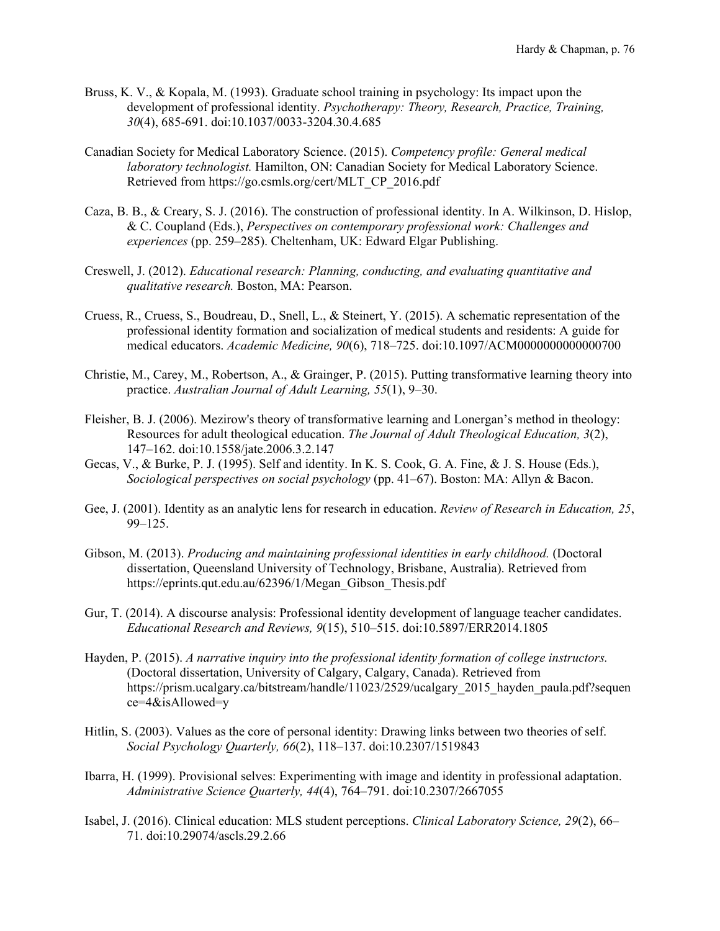- Bruss, K. V., & Kopala, M. (1993). Graduate school training in psychology: Its impact upon the development of professional identity. *Psychotherapy: Theory, Research, Practice, Training, 30*(4), 685-691. doi:10.1037/0033-3204.30.4.685
- Canadian Society for Medical Laboratory Science. (2015). *Competency profile: General medical laboratory technologist.* Hamilton, ON: Canadian Society for Medical Laboratory Science. Retrieved from https://go.csmls.org/cert/MLT\_CP\_2016.pdf
- Caza, B. B., & Creary, S. J. (2016). The construction of professional identity. In A. Wilkinson, D. Hislop, & C. Coupland (Eds.), *Perspectives on contemporary professional work: Challenges and experiences* (pp. 259–285). Cheltenham, UK: Edward Elgar Publishing.
- Creswell, J. (2012). *Educational research: Planning, conducting, and evaluating quantitative and qualitative research.* Boston, MA: Pearson.
- Cruess, R., Cruess, S., Boudreau, D., Snell, L., & Steinert, Y. (2015). A schematic representation of the professional identity formation and socialization of medical students and residents: A guide for medical educators. *Academic Medicine, 90*(6), 718–725. doi:10.1097/ACM0000000000000700
- Christie, M., Carey, M., Robertson, A., & Grainger, P. (2015). Putting transformative learning theory into practice. *Australian Journal of Adult Learning, 55*(1), 9–30.
- Fleisher, B. J. (2006). Mezirow's theory of transformative learning and Lonergan's method in theology: Resources for adult theological education. *The Journal of Adult Theological Education, 3*(2), 147–162. doi:10.1558/jate.2006.3.2.147
- Gecas, V., & Burke, P. J. (1995). Self and identity. In K. S. Cook, G. A. Fine, & J. S. House (Eds.), *Sociological perspectives on social psychology* (pp. 41–67). Boston: MA: Allyn & Bacon.
- Gee, J. (2001). Identity as an analytic lens for research in education. *Review of Research in Education, 25*, 99–125.
- Gibson, M. (2013). *Producing and maintaining professional identities in early childhood.* (Doctoral dissertation, Queensland University of Technology, Brisbane, Australia). Retrieved from https://eprints.qut.edu.au/62396/1/Megan\_Gibson\_Thesis.pdf
- Gur, T. (2014). A discourse analysis: Professional identity development of language teacher candidates. *Educational Research and Reviews, 9*(15), 510–515. doi:10.5897/ERR2014.1805
- Hayden, P. (2015). *A narrative inquiry into the professional identity formation of college instructors.*  (Doctoral dissertation, University of Calgary, Calgary, Canada). Retrieved from https://prism.ucalgary.ca/bitstream/handle/11023/2529/ucalgary\_2015\_hayden\_paula.pdf?sequen ce=4&isAllowed=y
- Hitlin, S. (2003). Values as the core of personal identity: Drawing links between two theories of self. *Social Psychology Quarterly, 66*(2), 118–137. doi:10.2307/1519843
- Ibarra, H. (1999). Provisional selves: Experimenting with image and identity in professional adaptation. *Administrative Science Quarterly, 44*(4), 764–791. doi:10.2307/2667055
- Isabel, J. (2016). Clinical education: MLS student perceptions. *Clinical Laboratory Science, 29*(2), 66– 71. doi:10.29074/ascls.29.2.66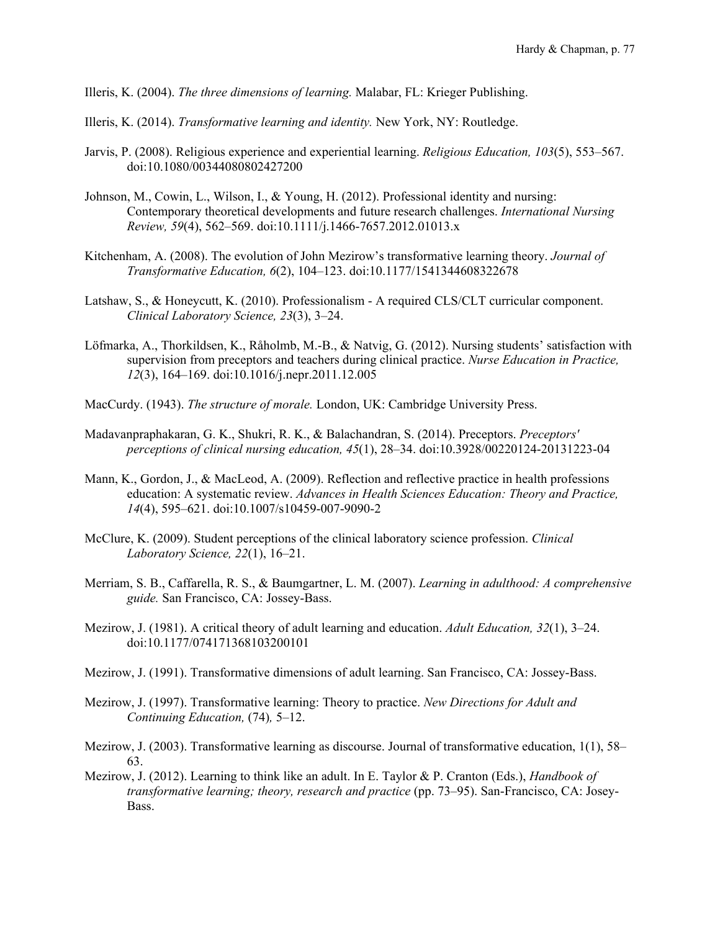Illeris, K. (2004). *The three dimensions of learning.* Malabar, FL: Krieger Publishing.

- Illeris, K. (2014). *Transformative learning and identity.* New York, NY: Routledge.
- Jarvis, P. (2008). Religious experience and experiential learning. *Religious Education, 103*(5), 553–567. doi:10.1080/00344080802427200
- Johnson, M., Cowin, L., Wilson, I., & Young, H. (2012). Professional identity and nursing: Contemporary theoretical developments and future research challenges. *International Nursing Review, 59*(4), 562–569. doi:10.1111/j.1466-7657.2012.01013.x
- Kitchenham, A. (2008). The evolution of John Mezirow's transformative learning theory. *Journal of Transformative Education, 6*(2), 104–123. doi:10.1177/1541344608322678
- Latshaw, S., & Honeycutt, K. (2010). Professionalism A required CLS/CLT curricular component. *Clinical Laboratory Science, 23*(3), 3–24.
- Löfmarka, A., Thorkildsen, K., Råholmb, M.-B., & Natvig, G. (2012). Nursing students' satisfaction with supervision from preceptors and teachers during clinical practice. *Nurse Education in Practice, 12*(3), 164–169. doi:10.1016/j.nepr.2011.12.005
- MacCurdy. (1943). *The structure of morale.* London, UK: Cambridge University Press.
- Madavanpraphakaran, G. K., Shukri, R. K., & Balachandran, S. (2014). Preceptors. *Preceptors' perceptions of clinical nursing education, 45*(1), 28–34. doi:10.3928/00220124-20131223-04
- Mann, K., Gordon, J., & MacLeod, A. (2009). Reflection and reflective practice in health professions education: A systematic review. *Advances in Health Sciences Education: Theory and Practice, 14*(4), 595–621. doi:10.1007/s10459-007-9090-2
- McClure, K. (2009). Student perceptions of the clinical laboratory science profession. *Clinical Laboratory Science, 22*(1), 16–21.
- Merriam, S. B., Caffarella, R. S., & Baumgartner, L. M. (2007). *Learning in adulthood: A comprehensive guide.* San Francisco, CA: Jossey-Bass.
- Mezirow, J. (1981). A critical theory of adult learning and education. *Adult Education, 32*(1), 3–24. doi:10.1177/074171368103200101
- Mezirow, J. (1991). Transformative dimensions of adult learning. San Francisco, CA: Jossey-Bass.
- Mezirow, J. (1997). Transformative learning: Theory to practice. *New Directions for Adult and Continuing Education,* (74)*,* 5–12.
- Mezirow, J. (2003). Transformative learning as discourse. Journal of transformative education, 1(1), 58– 63.
- Mezirow, J. (2012). Learning to think like an adult. In E. Taylor & P. Cranton (Eds.), *Handbook of transformative learning; theory, research and practice* (pp. 73–95). San-Francisco, CA: Josey-Bass.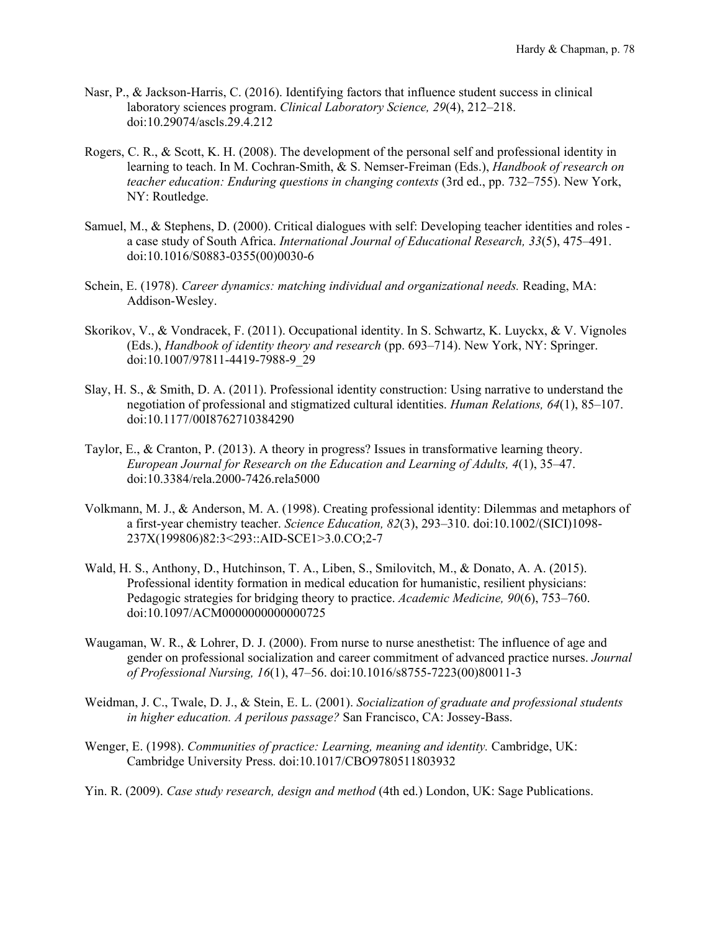- Nasr, P., & Jackson-Harris, C. (2016). Identifying factors that influence student success in clinical laboratory sciences program. *Clinical Laboratory Science, 29*(4), 212–218. doi:10.29074/ascls.29.4.212
- Rogers, C. R., & Scott, K. H. (2008). The development of the personal self and professional identity in learning to teach. In M. Cochran-Smith, & S. Nemser-Freiman (Eds.), *Handbook of research on teacher education: Enduring questions in changing contexts* (3rd ed., pp. 732–755). New York, NY: Routledge.
- Samuel, M., & Stephens, D. (2000). Critical dialogues with self: Developing teacher identities and roles a case study of South Africa. *International Journal of Educational Research, 33*(5), 475–491. doi:10.1016/S0883-0355(00)0030-6
- Schein, E. (1978). *Career dynamics: matching individual and organizational needs.* Reading, MA: Addison-Wesley.
- Skorikov, V., & Vondracek, F. (2011). Occupational identity. In S. Schwartz, K. Luyckx, & V. Vignoles (Eds.), *Handbook of identity theory and research* (pp. 693–714). New York, NY: Springer. doi:10.1007/97811-4419-7988-9\_29
- Slay, H. S., & Smith, D. A. (2011). Professional identity construction: Using narrative to understand the negotiation of professional and stigmatized cultural identities. *Human Relations, 64*(1), 85–107. doi:10.1177/00I8762710384290
- Taylor, E., & Cranton, P. (2013). A theory in progress? Issues in transformative learning theory. *European Journal for Research on the Education and Learning of Adults, 4*(1), 35–47. doi:10.3384/rela.2000-7426.rela5000
- Volkmann, M. J., & Anderson, M. A. (1998). Creating professional identity: Dilemmas and metaphors of a first-year chemistry teacher. *Science Education, 82*(3), 293–310. doi:10.1002/(SICI)1098- 237X(199806)82:3<293::AID-SCE1>3.0.CO;2-7
- Wald, H. S., Anthony, D., Hutchinson, T. A., Liben, S., Smilovitch, M., & Donato, A. A. (2015). Professional identity formation in medical education for humanistic, resilient physicians: Pedagogic strategies for bridging theory to practice. *Academic Medicine, 90*(6), 753–760. doi:10.1097/ACM0000000000000725
- Waugaman, W. R., & Lohrer, D. J. (2000). From nurse to nurse anesthetist: The influence of age and gender on professional socialization and career commitment of advanced practice nurses. *Journal of Professional Nursing, 16*(1), 47–56. doi:10.1016/s8755-7223(00)80011-3
- Weidman, J. C., Twale, D. J., & Stein, E. L. (2001). *Socialization of graduate and professional students in higher education. A perilous passage?* San Francisco, CA: Jossey-Bass.
- Wenger, E. (1998). *Communities of practice: Learning, meaning and identity.* Cambridge, UK: Cambridge University Press. doi:10.1017/CBO9780511803932
- Yin. R. (2009). *Case study research, design and method* (4th ed.) London, UK: Sage Publications.